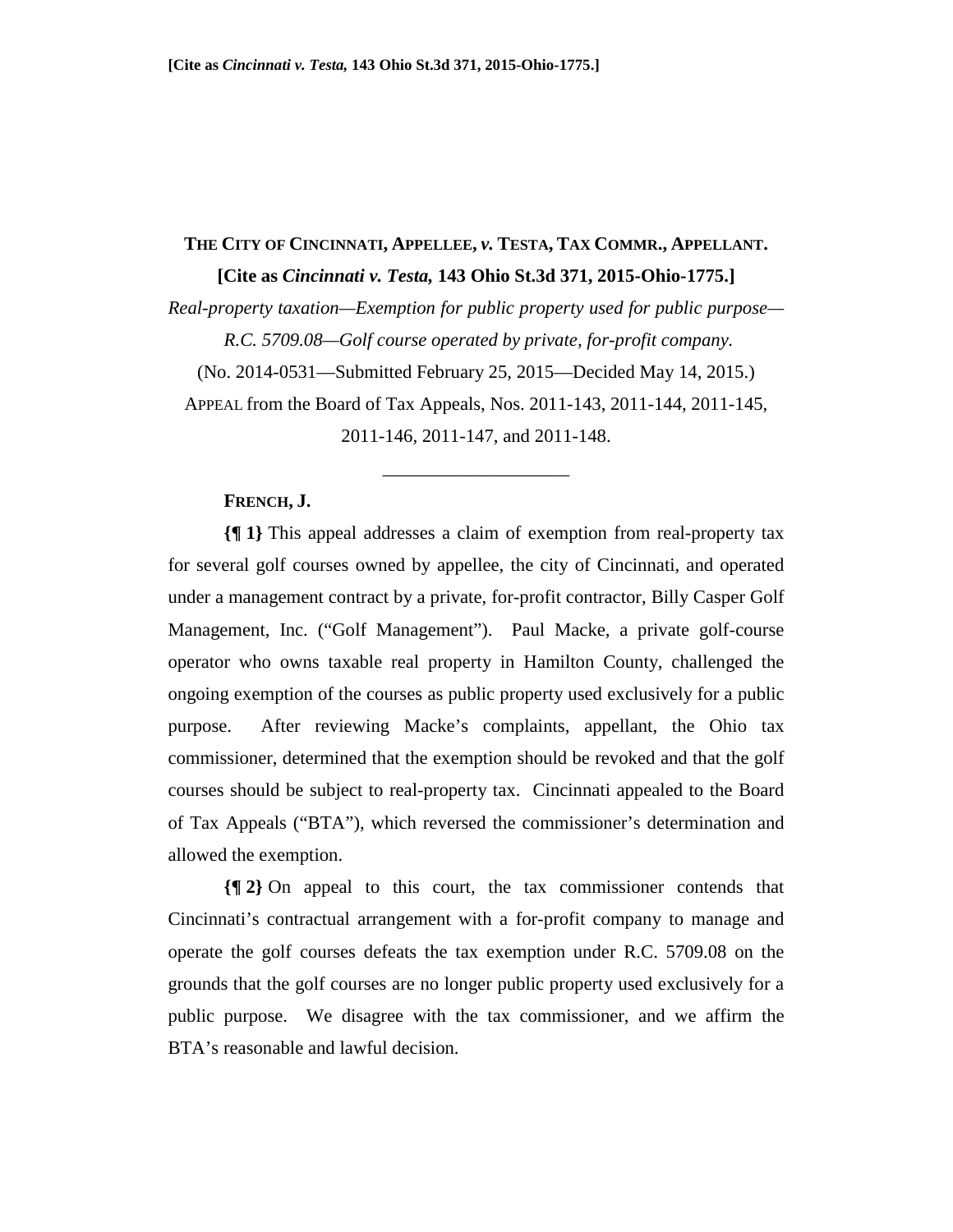# **THE CITY OF CINCINNATI, APPELLEE,** *v.* **TESTA, TAX COMMR., APPELLANT. [Cite as** *Cincinnati v. Testa,* **143 Ohio St.3d 371, 2015-Ohio-1775.]**

*Real-property taxation—Exemption for public property used for public purpose— R.C. 5709.08—Golf course operated by private, for-profit company.* 

(No. 2014-0531—Submitted February 25, 2015—Decided May 14, 2015.)

APPEAL from the Board of Tax Appeals, Nos. 2011-143, 2011-144, 2011-145, 2011-146, 2011-147, and 2011-148.

\_\_\_\_\_\_\_\_\_\_\_\_\_\_\_\_\_\_\_\_

#### **FRENCH, J.**

**{¶ 1}** This appeal addresses a claim of exemption from real-property tax for several golf courses owned by appellee, the city of Cincinnati, and operated under a management contract by a private, for-profit contractor, Billy Casper Golf Management, Inc. ("Golf Management"). Paul Macke, a private golf-course operator who owns taxable real property in Hamilton County, challenged the ongoing exemption of the courses as public property used exclusively for a public purpose. After reviewing Macke's complaints, appellant, the Ohio tax commissioner, determined that the exemption should be revoked and that the golf courses should be subject to real-property tax. Cincinnati appealed to the Board of Tax Appeals ("BTA"), which reversed the commissioner's determination and allowed the exemption.

**{¶ 2}** On appeal to this court, the tax commissioner contends that Cincinnati's contractual arrangement with a for-profit company to manage and operate the golf courses defeats the tax exemption under R.C. 5709.08 on the grounds that the golf courses are no longer public property used exclusively for a public purpose. We disagree with the tax commissioner, and we affirm the BTA's reasonable and lawful decision.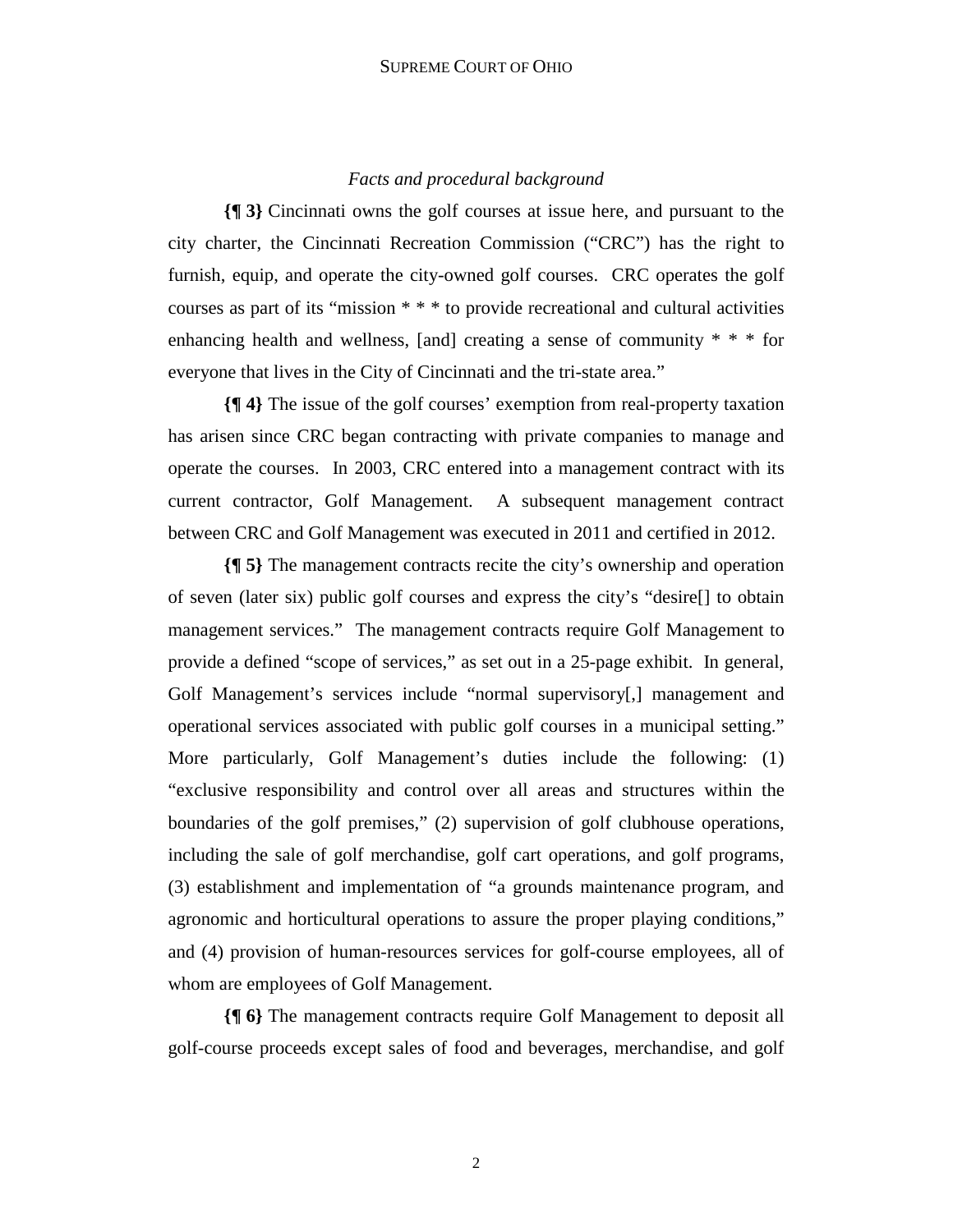## *Facts and procedural background*

**{¶ 3}** Cincinnati owns the golf courses at issue here, and pursuant to the city charter, the Cincinnati Recreation Commission ("CRC") has the right to furnish, equip, and operate the city-owned golf courses. CRC operates the golf courses as part of its "mission \* \* \* to provide recreational and cultural activities enhancing health and wellness, [and] creating a sense of community \* \* \* for everyone that lives in the City of Cincinnati and the tri-state area."

**{¶ 4}** The issue of the golf courses' exemption from real-property taxation has arisen since CRC began contracting with private companies to manage and operate the courses. In 2003, CRC entered into a management contract with its current contractor, Golf Management. A subsequent management contract between CRC and Golf Management was executed in 2011 and certified in 2012.

**{¶ 5}** The management contracts recite the city's ownership and operation of seven (later six) public golf courses and express the city's "desire[] to obtain management services." The management contracts require Golf Management to provide a defined "scope of services," as set out in a 25-page exhibit. In general, Golf Management's services include "normal supervisory[,] management and operational services associated with public golf courses in a municipal setting." More particularly, Golf Management's duties include the following: (1) "exclusive responsibility and control over all areas and structures within the boundaries of the golf premises," (2) supervision of golf clubhouse operations, including the sale of golf merchandise, golf cart operations, and golf programs, (3) establishment and implementation of "a grounds maintenance program, and agronomic and horticultural operations to assure the proper playing conditions," and (4) provision of human-resources services for golf-course employees, all of whom are employees of Golf Management.

**{¶ 6}** The management contracts require Golf Management to deposit all golf-course proceeds except sales of food and beverages, merchandise, and golf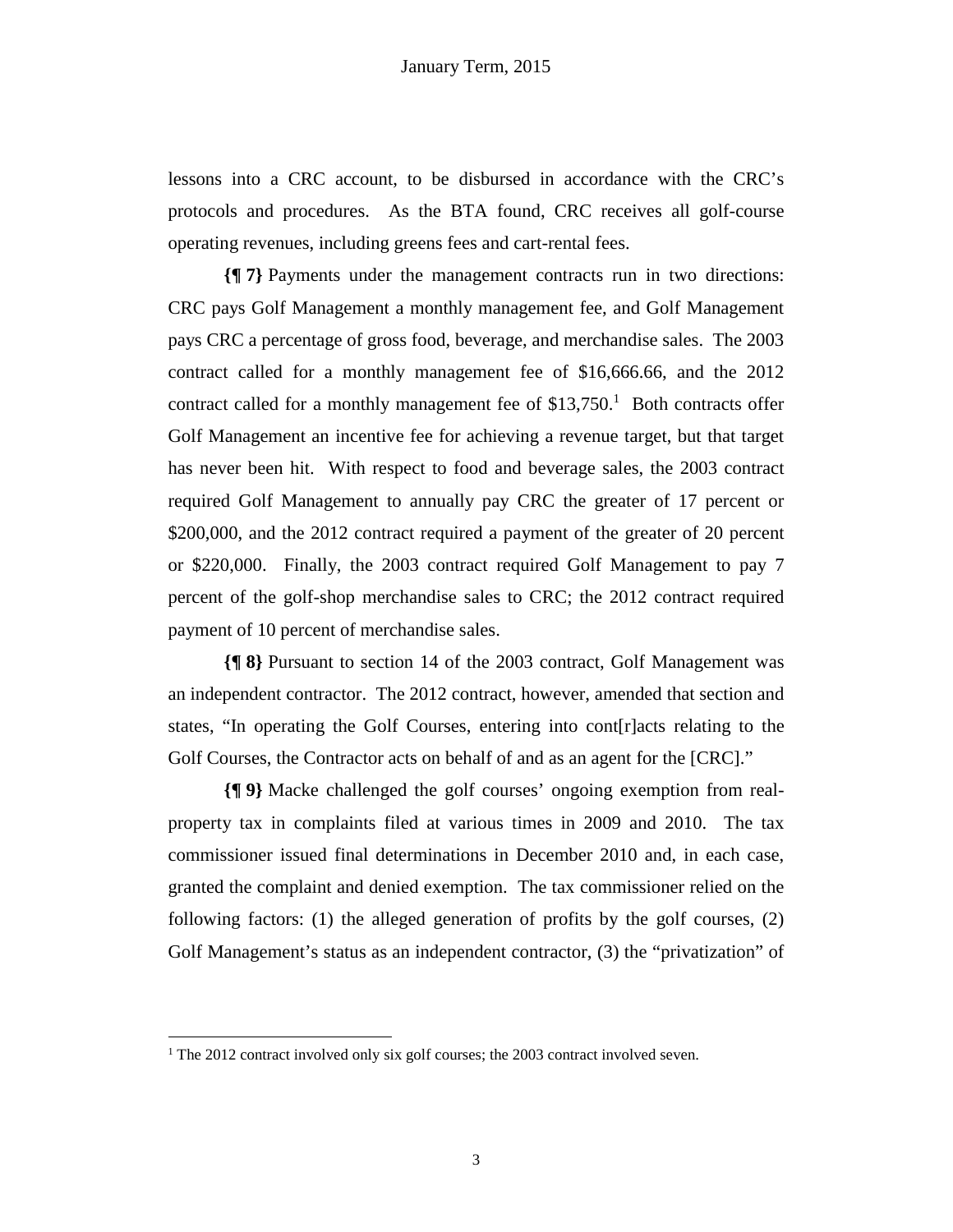lessons into a CRC account, to be disbursed in accordance with the CRC's protocols and procedures. As the BTA found, CRC receives all golf-course operating revenues, including greens fees and cart-rental fees.

**{¶ 7}** Payments under the management contracts run in two directions: CRC pays Golf Management a monthly management fee, and Golf Management pays CRC a percentage of gross food, beverage, and merchandise sales. The 2003 contract called for a monthly management fee of \$16,666.66, and the 2012 contract called for a monthly management fee of  $$13,750$ .<sup>1</sup> Both contracts offer Golf Management an incentive fee for achieving a revenue target, but that target has never been hit. With respect to food and beverage sales, the 2003 contract required Golf Management to annually pay CRC the greater of 17 percent or \$200,000, and the 2012 contract required a payment of the greater of 20 percent or \$220,000. Finally, the 2003 contract required Golf Management to pay 7 percent of the golf-shop merchandise sales to CRC; the 2012 contract required payment of 10 percent of merchandise sales.

**{¶ 8}** Pursuant to section 14 of the 2003 contract, Golf Management was an independent contractor. The 2012 contract, however, amended that section and states, "In operating the Golf Courses, entering into cont[r]acts relating to the Golf Courses, the Contractor acts on behalf of and as an agent for the [CRC]."

**{¶ 9}** Macke challenged the golf courses' ongoing exemption from realproperty tax in complaints filed at various times in 2009 and 2010. The tax commissioner issued final determinations in December 2010 and, in each case, granted the complaint and denied exemption. The tax commissioner relied on the following factors: (1) the alleged generation of profits by the golf courses, (2) Golf Management's status as an independent contractor, (3) the "privatization" of

1

<sup>&</sup>lt;sup>1</sup> The 2012 contract involved only six golf courses; the 2003 contract involved seven.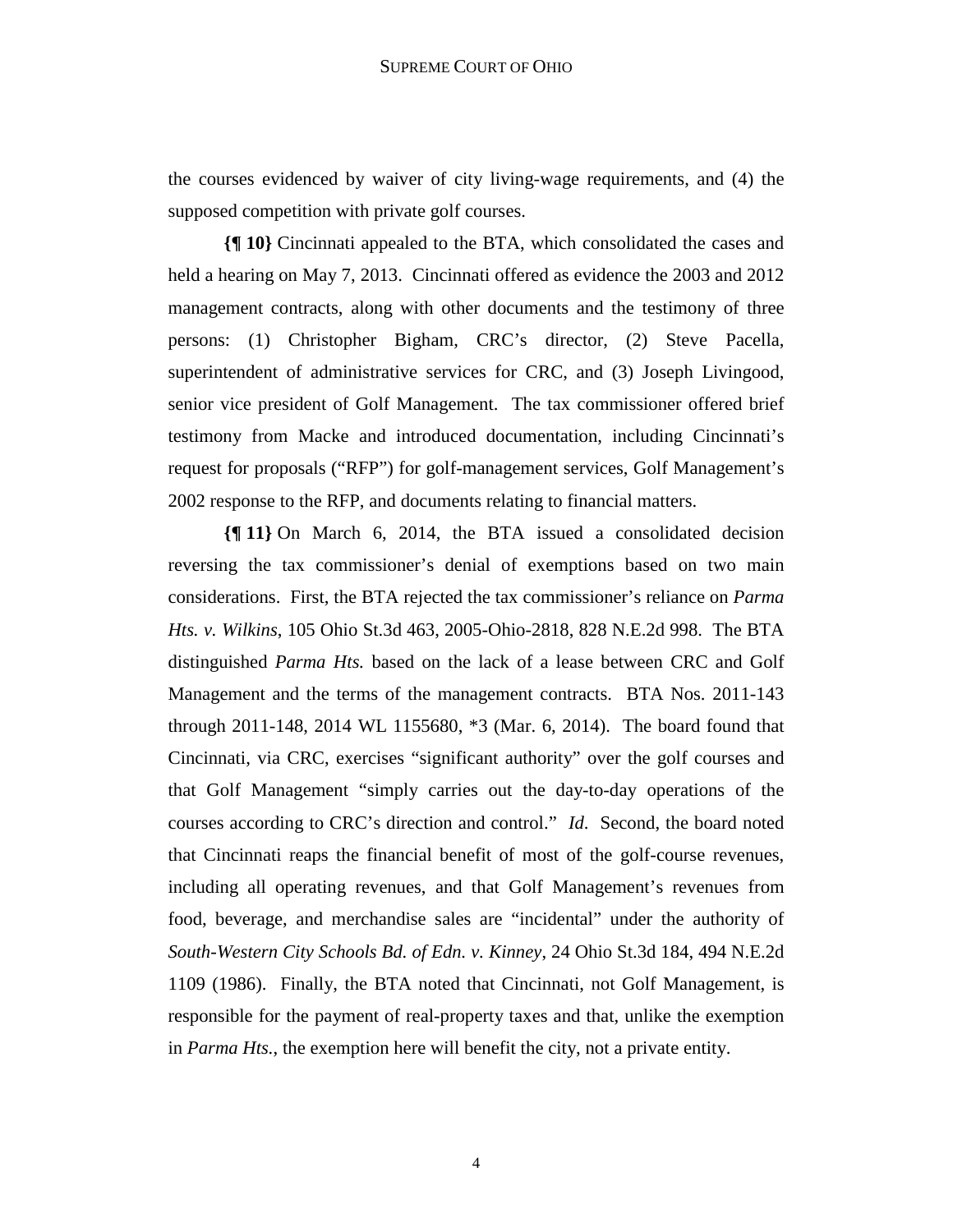the courses evidenced by waiver of city living-wage requirements, and (4) the supposed competition with private golf courses.

**{¶ 10}** Cincinnati appealed to the BTA, which consolidated the cases and held a hearing on May 7, 2013. Cincinnati offered as evidence the 2003 and 2012 management contracts, along with other documents and the testimony of three persons: (1) Christopher Bigham, CRC's director, (2) Steve Pacella, superintendent of administrative services for CRC, and (3) Joseph Livingood, senior vice president of Golf Management. The tax commissioner offered brief testimony from Macke and introduced documentation, including Cincinnati's request for proposals ("RFP") for golf-management services, Golf Management's 2002 response to the RFP, and documents relating to financial matters.

**{¶ 11}** On March 6, 2014, the BTA issued a consolidated decision reversing the tax commissioner's denial of exemptions based on two main considerations. First, the BTA rejected the tax commissioner's reliance on *Parma Hts. v. Wilkins*, 105 Ohio St.3d 463, 2005-Ohio-2818, 828 N.E.2d 998. The BTA distinguished *Parma Hts.* based on the lack of a lease between CRC and Golf Management and the terms of the management contracts. BTA Nos. 2011-143 through 2011-148, 2014 WL 1155680, \*3 (Mar. 6, 2014). The board found that Cincinnati, via CRC, exercises "significant authority" over the golf courses and that Golf Management "simply carries out the day-to-day operations of the courses according to CRC's direction and control." *Id*. Second, the board noted that Cincinnati reaps the financial benefit of most of the golf-course revenues, including all operating revenues, and that Golf Management's revenues from food, beverage, and merchandise sales are "incidental" under the authority of *South-Western City Schools Bd. of Edn. v. Kinney*, 24 Ohio St.3d 184, 494 N.E.2d 1109 (1986). Finally, the BTA noted that Cincinnati, not Golf Management, is responsible for the payment of real-property taxes and that, unlike the exemption in *Parma Hts.*, the exemption here will benefit the city, not a private entity.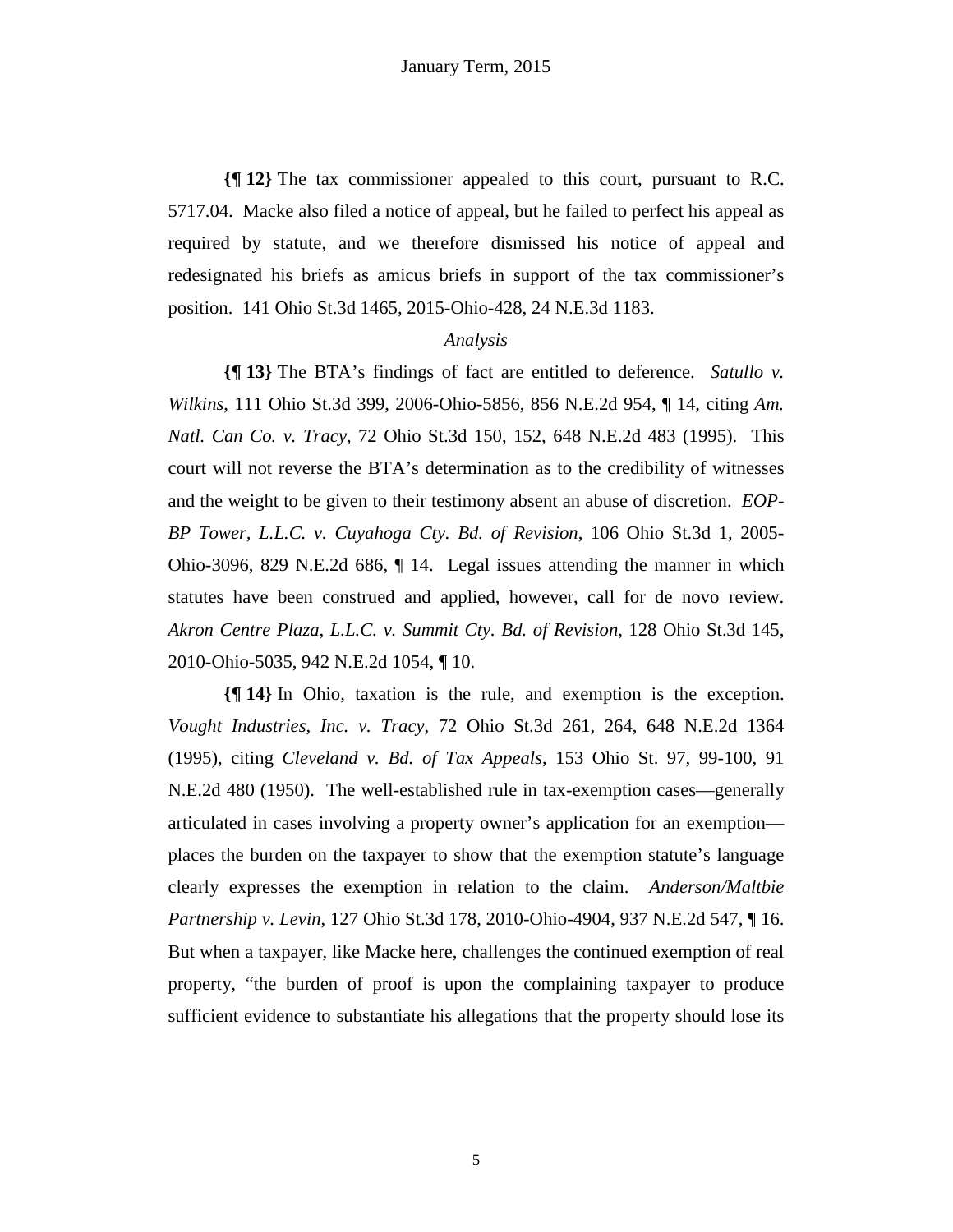**{¶ 12}** The tax commissioner appealed to this court, pursuant to R.C. 5717.04. Macke also filed a notice of appeal, but he failed to perfect his appeal as required by statute, and we therefore dismissed his notice of appeal and redesignated his briefs as amicus briefs in support of the tax commissioner's position. 141 Ohio St.3d 1465, 2015-Ohio-428, 24 N.E.3d 1183.

### *Analysis*

**{¶ 13}** The BTA's findings of fact are entitled to deference. *Satullo v. Wilkins*, 111 Ohio St.3d 399, 2006-Ohio-5856, 856 N.E.2d 954, ¶ 14, citing *Am. Natl. Can Co. v. Tracy*, 72 Ohio St.3d 150, 152, 648 N.E.2d 483 (1995). This court will not reverse the BTA's determination as to the credibility of witnesses and the weight to be given to their testimony absent an abuse of discretion. *EOP-BP Tower, L.L.C. v. Cuyahoga Cty. Bd. of Revision*, 106 Ohio St.3d 1, 2005- Ohio-3096, 829 N.E.2d 686, ¶ 14. Legal issues attending the manner in which statutes have been construed and applied, however, call for de novo review. *Akron Centre Plaza, L.L.C. v. Summit Cty. Bd. of Revision*, 128 Ohio St.3d 145, 2010-Ohio-5035, 942 N.E.2d 1054, ¶ 10.

**{¶ 14}** In Ohio, taxation is the rule, and exemption is the exception. *Vought Industries, Inc. v. Tracy*, 72 Ohio St.3d 261, 264, 648 N.E.2d 1364 (1995), citing *Cleveland v. Bd. of Tax Appeals*, 153 Ohio St. 97, 99-100, 91 N.E.2d 480 (1950). The well-established rule in tax-exemption cases—generally articulated in cases involving a property owner's application for an exemption places the burden on the taxpayer to show that the exemption statute's language clearly expresses the exemption in relation to the claim. *Anderson/Maltbie Partnership v. Levin*, 127 Ohio St.3d 178, 2010-Ohio-4904, 937 N.E.2d 547, ¶ 16. But when a taxpayer, like Macke here, challenges the continued exemption of real property, "the burden of proof is upon the complaining taxpayer to produce sufficient evidence to substantiate his allegations that the property should lose its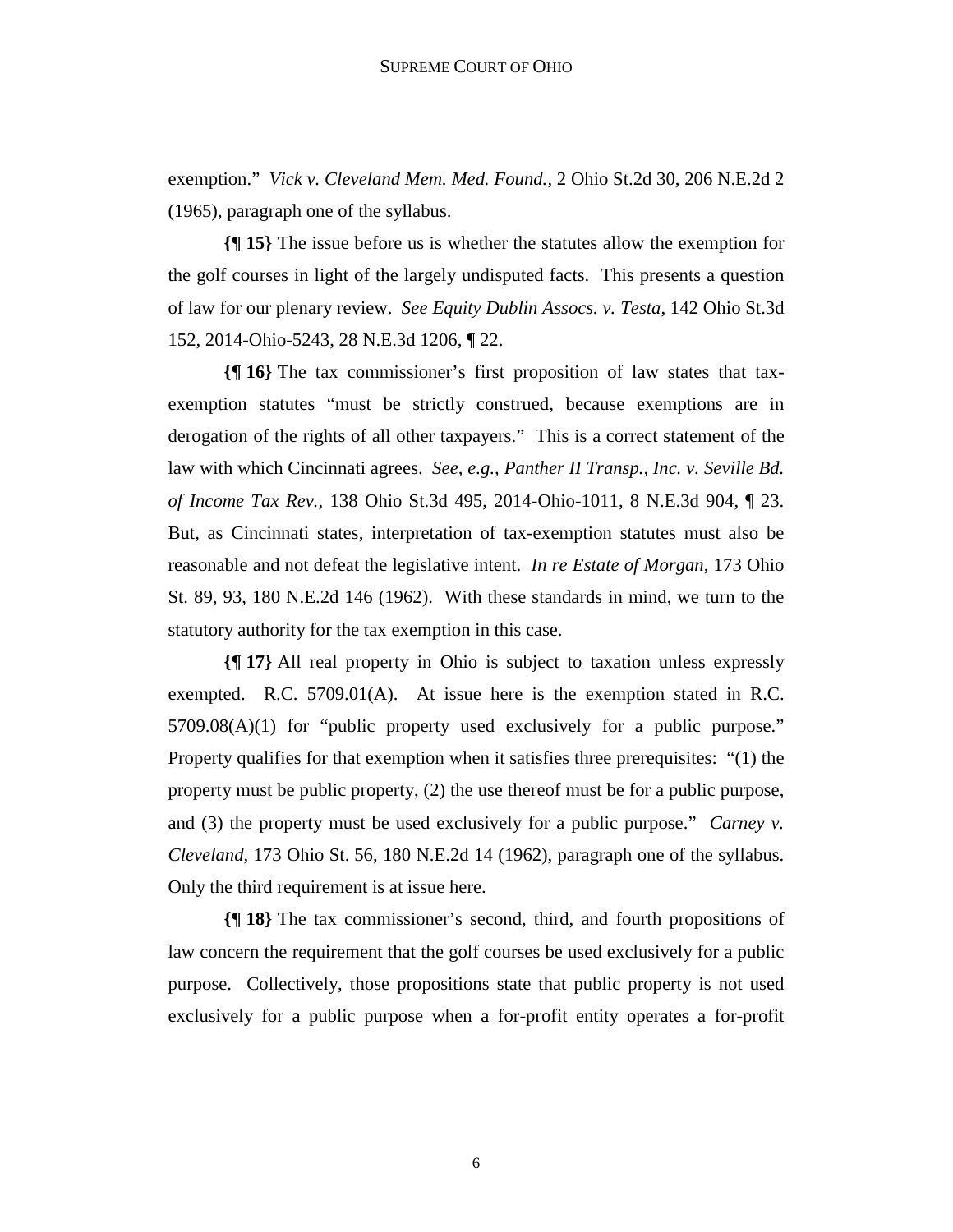exemption." *Vick v. Cleveland Mem. Med. Found.*, 2 Ohio St.2d 30, 206 N.E.2d 2 (1965), paragraph one of the syllabus.

**{¶ 15}** The issue before us is whether the statutes allow the exemption for the golf courses in light of the largely undisputed facts. This presents a question of law for our plenary review. *See Equity Dublin Assocs. v. Testa*, 142 Ohio St.3d 152, 2014-Ohio-5243, 28 N.E.3d 1206, ¶ 22.

**{¶ 16}** The tax commissioner's first proposition of law states that taxexemption statutes "must be strictly construed, because exemptions are in derogation of the rights of all other taxpayers." This is a correct statement of the law with which Cincinnati agrees. *See, e.g., Panther II Transp., Inc. v. Seville Bd. of Income Tax Rev.*, 138 Ohio St.3d 495, 2014-Ohio-1011, 8 N.E.3d 904, ¶ 23. But, as Cincinnati states, interpretation of tax-exemption statutes must also be reasonable and not defeat the legislative intent. *In re Estate of Morgan*, 173 Ohio St. 89, 93, 180 N.E.2d 146 (1962). With these standards in mind, we turn to the statutory authority for the tax exemption in this case.

**{¶ 17}** All real property in Ohio is subject to taxation unless expressly exempted. R.C. 5709.01(A). At issue here is the exemption stated in R.C. 5709.08(A)(1) for "public property used exclusively for a public purpose." Property qualifies for that exemption when it satisfies three prerequisites: "(1) the property must be public property, (2) the use thereof must be for a public purpose, and (3) the property must be used exclusively for a public purpose." *Carney v. Cleveland*, 173 Ohio St. 56, 180 N.E.2d 14 (1962), paragraph one of the syllabus. Only the third requirement is at issue here.

**{¶ 18}** The tax commissioner's second, third, and fourth propositions of law concern the requirement that the golf courses be used exclusively for a public purpose. Collectively, those propositions state that public property is not used exclusively for a public purpose when a for-profit entity operates a for-profit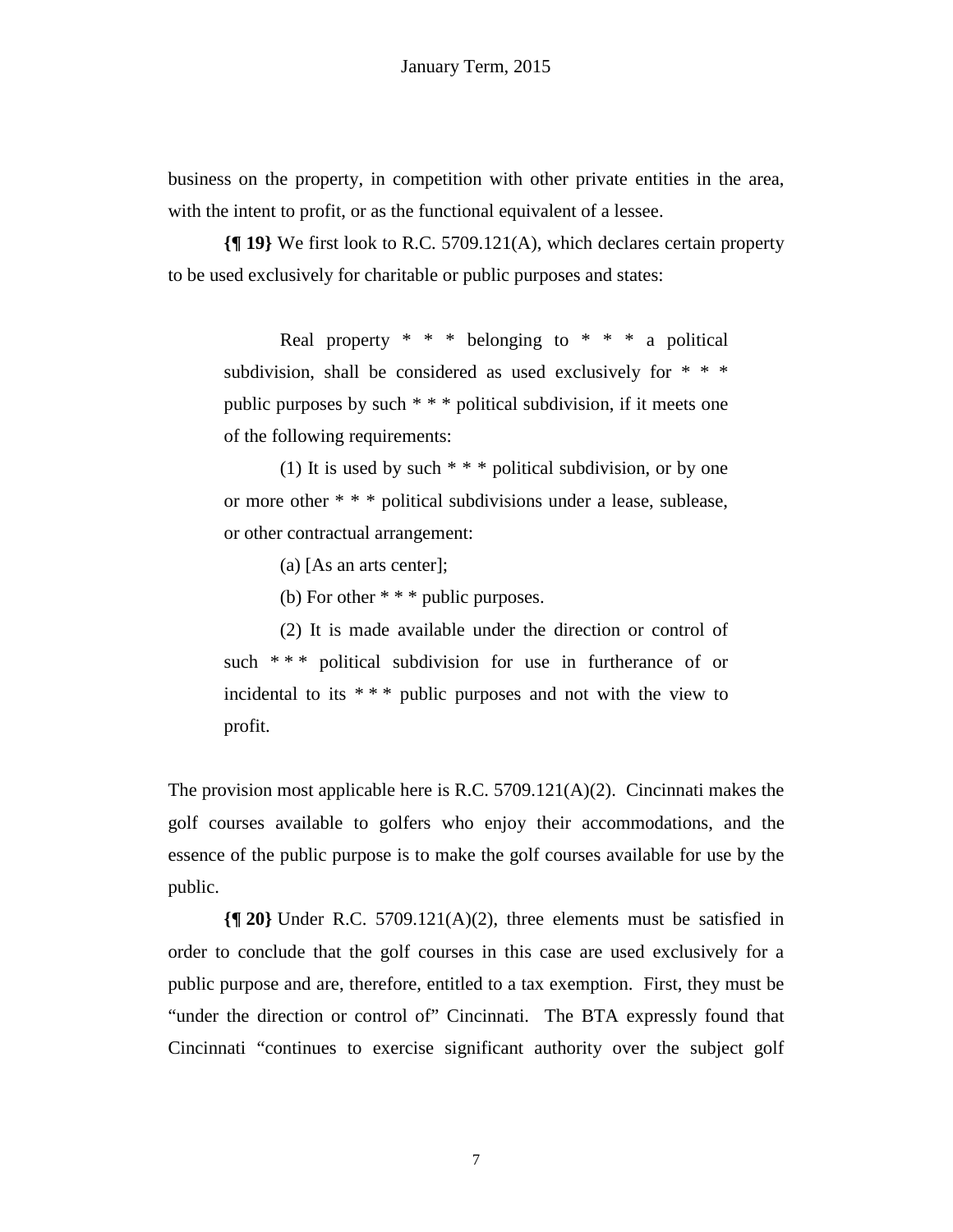business on the property, in competition with other private entities in the area, with the intent to profit, or as the functional equivalent of a lessee.

**{¶ 19}** We first look to R.C. 5709.121(A), which declares certain property to be used exclusively for charitable or public purposes and states:

Real property  $* * * \text{ belonging to } * * * \text{ a political}$ subdivision, shall be considered as used exclusively for \* \* \* public purposes by such \* \* \* political subdivision, if it meets one of the following requirements:

(1) It is used by such \* \* \* political subdivision, or by one or more other \* \* \* political subdivisions under a lease, sublease, or other contractual arrangement:

(a) [As an arts center];

(b) For other \* \* \* public purposes.

(2) It is made available under the direction or control of such \*\*\* political subdivision for use in furtherance of or incidental to its \* \* \* public purposes and not with the view to profit.

The provision most applicable here is R.C.  $5709.121(A)(2)$ . Cincinnati makes the golf courses available to golfers who enjoy their accommodations, and the essence of the public purpose is to make the golf courses available for use by the public.

**{¶ 20}** Under R.C. 5709.121(A)(2), three elements must be satisfied in order to conclude that the golf courses in this case are used exclusively for a public purpose and are, therefore, entitled to a tax exemption. First, they must be "under the direction or control of" Cincinnati. The BTA expressly found that Cincinnati "continues to exercise significant authority over the subject golf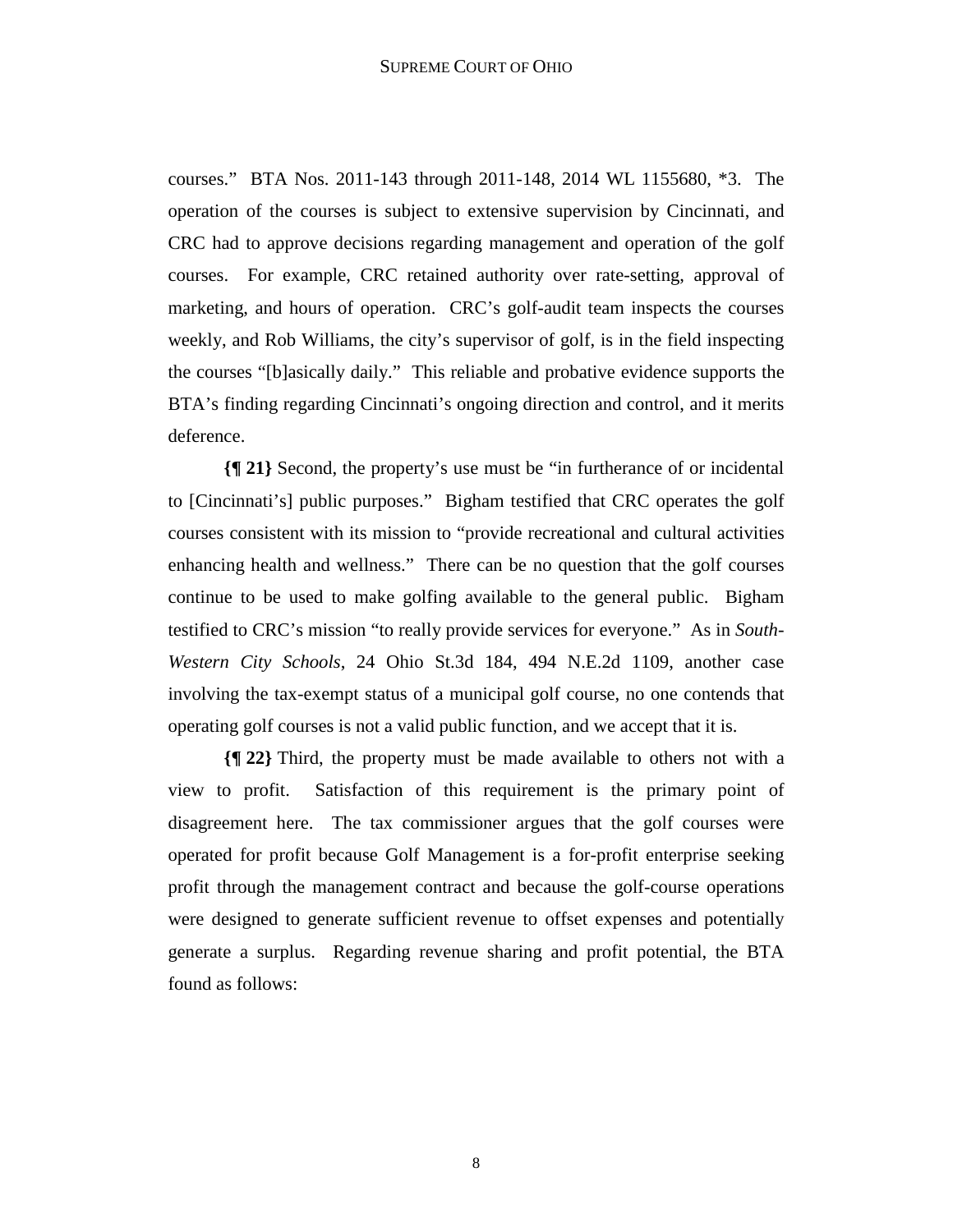courses." BTA Nos. 2011-143 through 2011-148, 2014 WL 1155680, \*3. The operation of the courses is subject to extensive supervision by Cincinnati, and CRC had to approve decisions regarding management and operation of the golf courses. For example, CRC retained authority over rate-setting, approval of marketing, and hours of operation. CRC's golf-audit team inspects the courses weekly, and Rob Williams, the city's supervisor of golf, is in the field inspecting the courses "[b]asically daily." This reliable and probative evidence supports the BTA's finding regarding Cincinnati's ongoing direction and control, and it merits deference.

**{¶ 21}** Second, the property's use must be "in furtherance of or incidental to [Cincinnati's] public purposes." Bigham testified that CRC operates the golf courses consistent with its mission to "provide recreational and cultural activities enhancing health and wellness." There can be no question that the golf courses continue to be used to make golfing available to the general public. Bigham testified to CRC's mission "to really provide services for everyone." As in *South-Western City Schools*, 24 Ohio St.3d 184, 494 N.E.2d 1109, another case involving the tax-exempt status of a municipal golf course, no one contends that operating golf courses is not a valid public function, and we accept that it is.

**{¶ 22}** Third, the property must be made available to others not with a view to profit. Satisfaction of this requirement is the primary point of disagreement here. The tax commissioner argues that the golf courses were operated for profit because Golf Management is a for-profit enterprise seeking profit through the management contract and because the golf-course operations were designed to generate sufficient revenue to offset expenses and potentially generate a surplus. Regarding revenue sharing and profit potential, the BTA found as follows: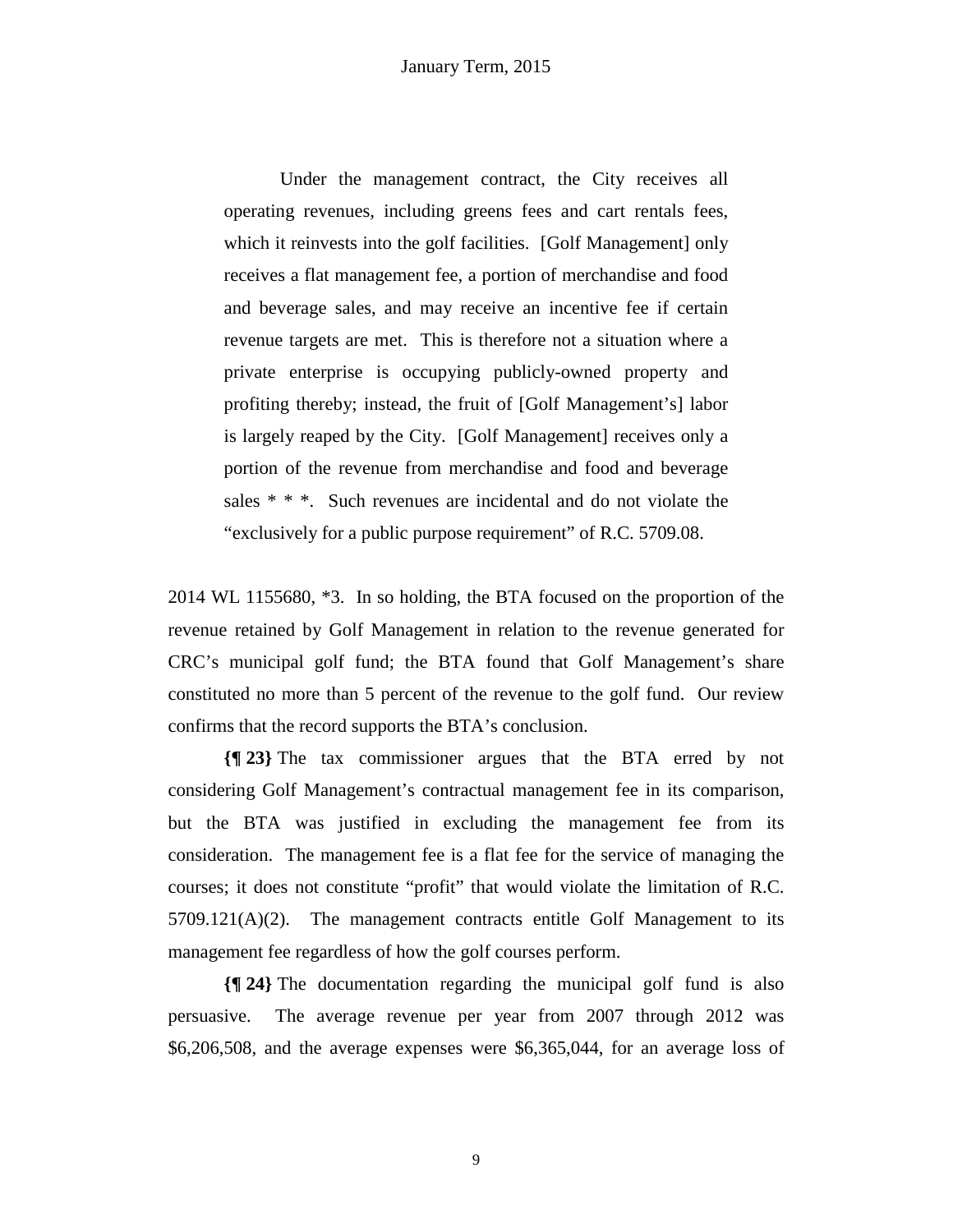Under the management contract, the City receives all operating revenues, including greens fees and cart rentals fees, which it reinvests into the golf facilities. [Golf Management] only receives a flat management fee, a portion of merchandise and food and beverage sales, and may receive an incentive fee if certain revenue targets are met. This is therefore not a situation where a private enterprise is occupying publicly-owned property and profiting thereby; instead, the fruit of [Golf Management's] labor is largely reaped by the City. [Golf Management] receives only a portion of the revenue from merchandise and food and beverage sales \* \* \*. Such revenues are incidental and do not violate the "exclusively for a public purpose requirement" of R.C. 5709.08.

2014 WL 1155680, \*3. In so holding, the BTA focused on the proportion of the revenue retained by Golf Management in relation to the revenue generated for CRC's municipal golf fund; the BTA found that Golf Management's share constituted no more than 5 percent of the revenue to the golf fund. Our review confirms that the record supports the BTA's conclusion.

**{¶ 23}** The tax commissioner argues that the BTA erred by not considering Golf Management's contractual management fee in its comparison, but the BTA was justified in excluding the management fee from its consideration. The management fee is a flat fee for the service of managing the courses; it does not constitute "profit" that would violate the limitation of R.C.  $5709.121(A)(2)$ . The management contracts entitle Golf Management to its management fee regardless of how the golf courses perform.

**{¶ 24}** The documentation regarding the municipal golf fund is also persuasive. The average revenue per year from 2007 through 2012 was \$6,206,508, and the average expenses were \$6,365,044, for an average loss of

9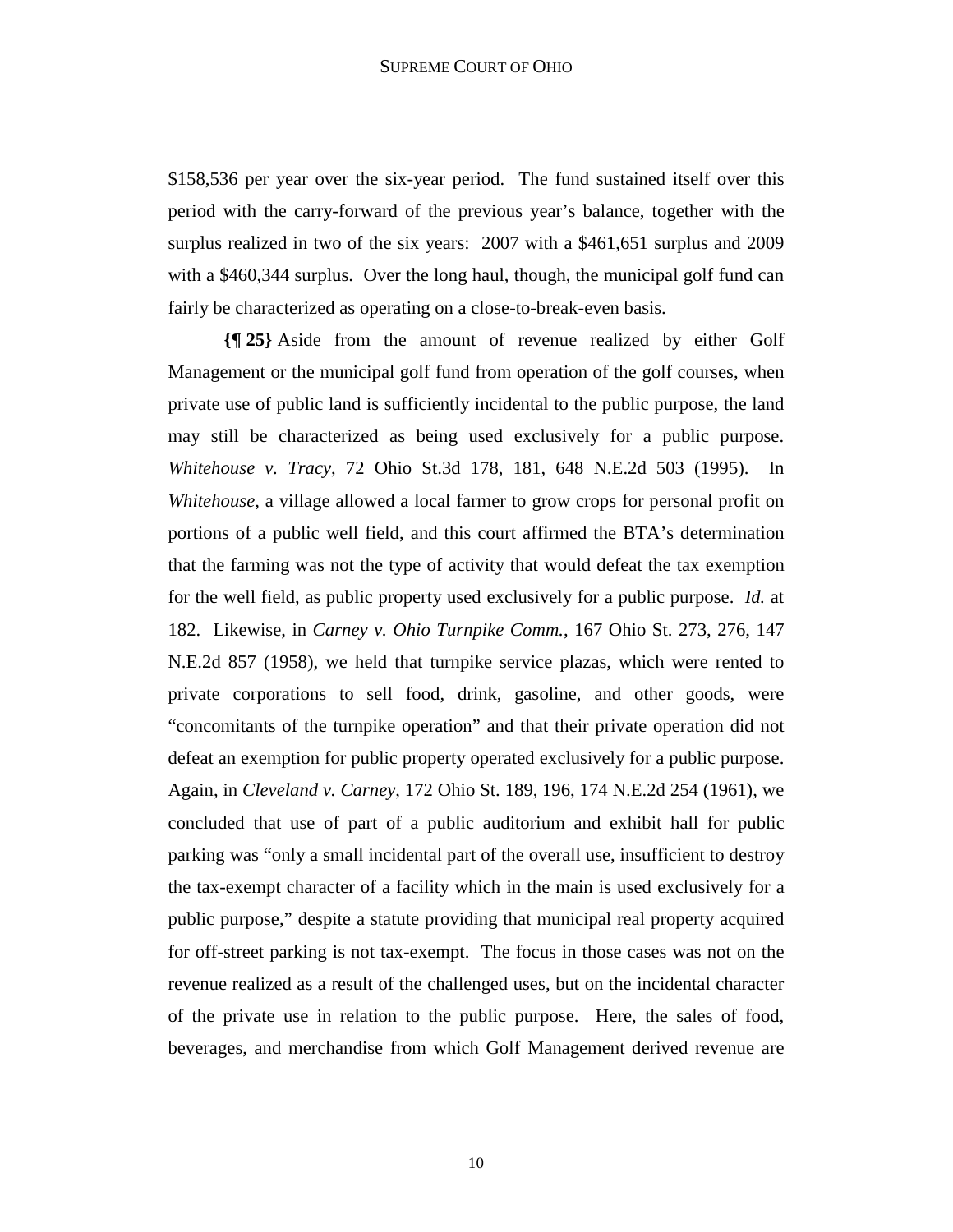\$158,536 per year over the six-year period. The fund sustained itself over this period with the carry-forward of the previous year's balance, together with the surplus realized in two of the six years: 2007 with a \$461,651 surplus and 2009 with a \$460,344 surplus. Over the long haul, though, the municipal golf fund can fairly be characterized as operating on a close-to-break-even basis.

**{¶ 25}** Aside from the amount of revenue realized by either Golf Management or the municipal golf fund from operation of the golf courses, when private use of public land is sufficiently incidental to the public purpose, the land may still be characterized as being used exclusively for a public purpose. *Whitehouse v. Tracy*, 72 Ohio St.3d 178, 181, 648 N.E.2d 503 (1995). In *Whitehouse*, a village allowed a local farmer to grow crops for personal profit on portions of a public well field, and this court affirmed the BTA's determination that the farming was not the type of activity that would defeat the tax exemption for the well field, as public property used exclusively for a public purpose. *Id.* at 182. Likewise, in *Carney v. Ohio Turnpike Comm.*, 167 Ohio St. 273, 276, 147 N.E.2d 857 (1958), we held that turnpike service plazas, which were rented to private corporations to sell food, drink, gasoline, and other goods, were "concomitants of the turnpike operation" and that their private operation did not defeat an exemption for public property operated exclusively for a public purpose. Again, in *Cleveland v. Carney*, 172 Ohio St. 189, 196, 174 N.E.2d 254 (1961), we concluded that use of part of a public auditorium and exhibit hall for public parking was "only a small incidental part of the overall use, insufficient to destroy the tax-exempt character of a facility which in the main is used exclusively for a public purpose," despite a statute providing that municipal real property acquired for off-street parking is not tax-exempt. The focus in those cases was not on the revenue realized as a result of the challenged uses, but on the incidental character of the private use in relation to the public purpose. Here, the sales of food, beverages, and merchandise from which Golf Management derived revenue are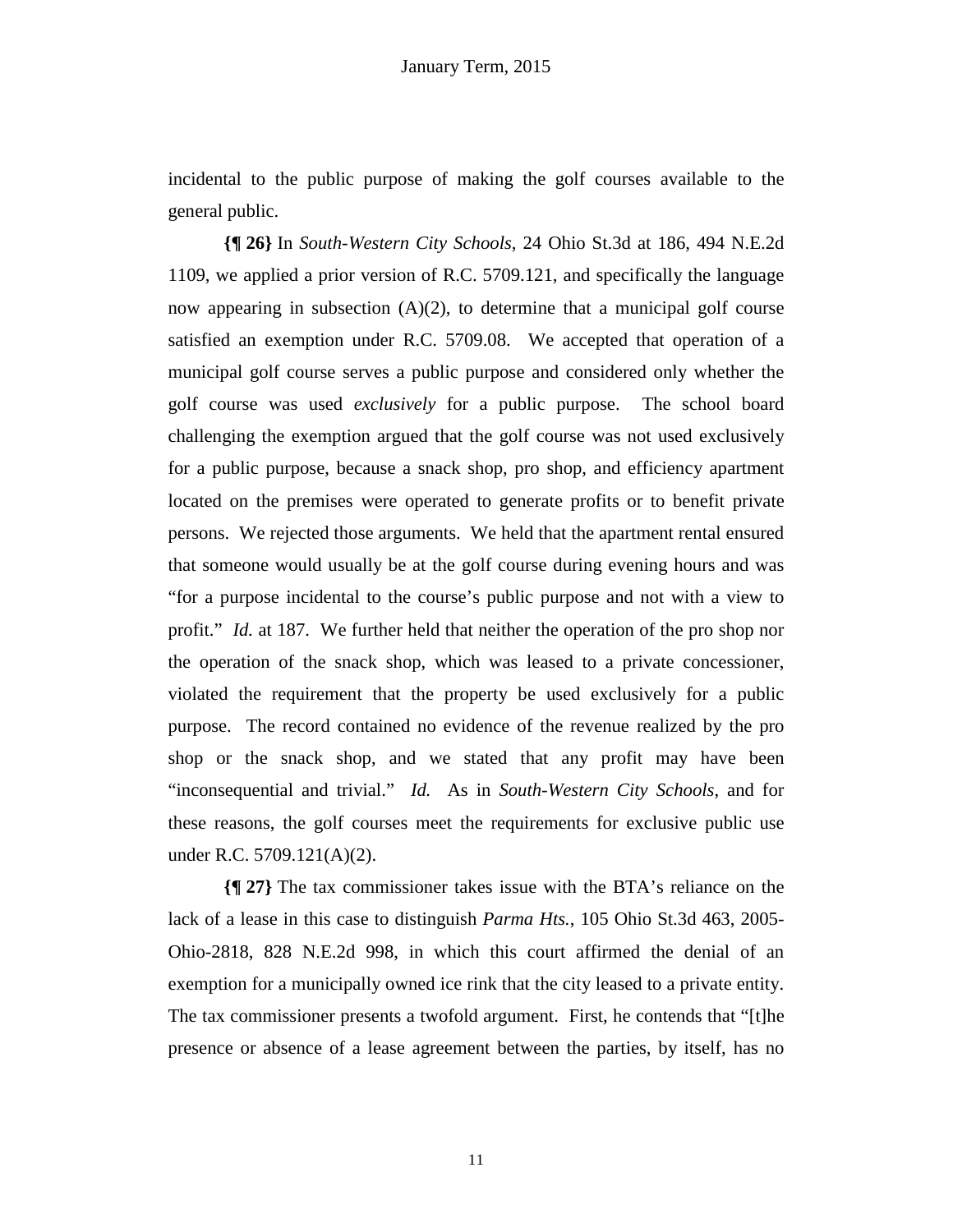incidental to the public purpose of making the golf courses available to the general public.

**{¶ 26}** In *South-Western City Schools*, 24 Ohio St.3d at 186, 494 N.E.2d 1109, we applied a prior version of R.C. 5709.121, and specifically the language now appearing in subsection  $(A)(2)$ , to determine that a municipal golf course satisfied an exemption under R.C. 5709.08. We accepted that operation of a municipal golf course serves a public purpose and considered only whether the golf course was used *exclusively* for a public purpose. The school board challenging the exemption argued that the golf course was not used exclusively for a public purpose, because a snack shop, pro shop, and efficiency apartment located on the premises were operated to generate profits or to benefit private persons. We rejected those arguments. We held that the apartment rental ensured that someone would usually be at the golf course during evening hours and was "for a purpose incidental to the course's public purpose and not with a view to profit." *Id.* at 187. We further held that neither the operation of the pro shop nor the operation of the snack shop, which was leased to a private concessioner, violated the requirement that the property be used exclusively for a public purpose. The record contained no evidence of the revenue realized by the pro shop or the snack shop, and we stated that any profit may have been "inconsequential and trivial." *Id.* As in *South-Western City Schools*, and for these reasons, the golf courses meet the requirements for exclusive public use under R.C. 5709.121(A)(2).

**{¶ 27}** The tax commissioner takes issue with the BTA's reliance on the lack of a lease in this case to distinguish *Parma Hts.*, 105 Ohio St.3d 463, 2005- Ohio-2818, 828 N.E.2d 998, in which this court affirmed the denial of an exemption for a municipally owned ice rink that the city leased to a private entity. The tax commissioner presents a twofold argument. First, he contends that "[t]he presence or absence of a lease agreement between the parties, by itself, has no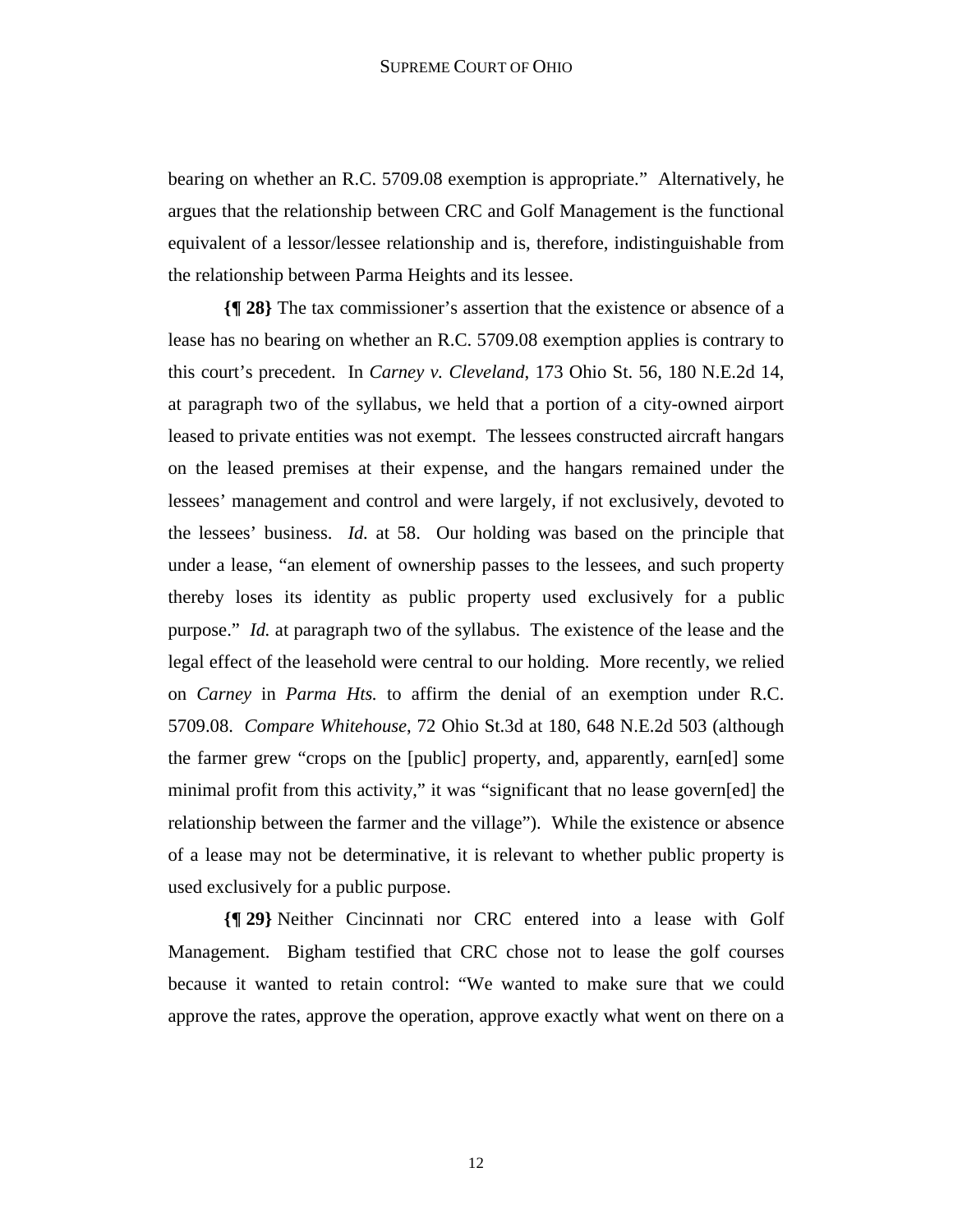bearing on whether an R.C. 5709.08 exemption is appropriate." Alternatively, he argues that the relationship between CRC and Golf Management is the functional equivalent of a lessor/lessee relationship and is, therefore, indistinguishable from the relationship between Parma Heights and its lessee.

**{¶ 28}** The tax commissioner's assertion that the existence or absence of a lease has no bearing on whether an R.C. 5709.08 exemption applies is contrary to this court's precedent. In *Carney v. Cleveland*, 173 Ohio St. 56, 180 N.E.2d 14, at paragraph two of the syllabus, we held that a portion of a city-owned airport leased to private entities was not exempt. The lessees constructed aircraft hangars on the leased premises at their expense, and the hangars remained under the lessees' management and control and were largely, if not exclusively, devoted to the lessees' business. *Id.* at 58. Our holding was based on the principle that under a lease, "an element of ownership passes to the lessees, and such property thereby loses its identity as public property used exclusively for a public purpose." *Id.* at paragraph two of the syllabus. The existence of the lease and the legal effect of the leasehold were central to our holding. More recently, we relied on *Carney* in *Parma Hts.* to affirm the denial of an exemption under R.C. 5709.08. *Compare Whitehouse*, 72 Ohio St.3d at 180, 648 N.E.2d 503 (although the farmer grew "crops on the [public] property, and, apparently, earn[ed] some minimal profit from this activity," it was "significant that no lease govern[ed] the relationship between the farmer and the village"). While the existence or absence of a lease may not be determinative, it is relevant to whether public property is used exclusively for a public purpose.

**{¶ 29}** Neither Cincinnati nor CRC entered into a lease with Golf Management. Bigham testified that CRC chose not to lease the golf courses because it wanted to retain control: "We wanted to make sure that we could approve the rates, approve the operation, approve exactly what went on there on a

12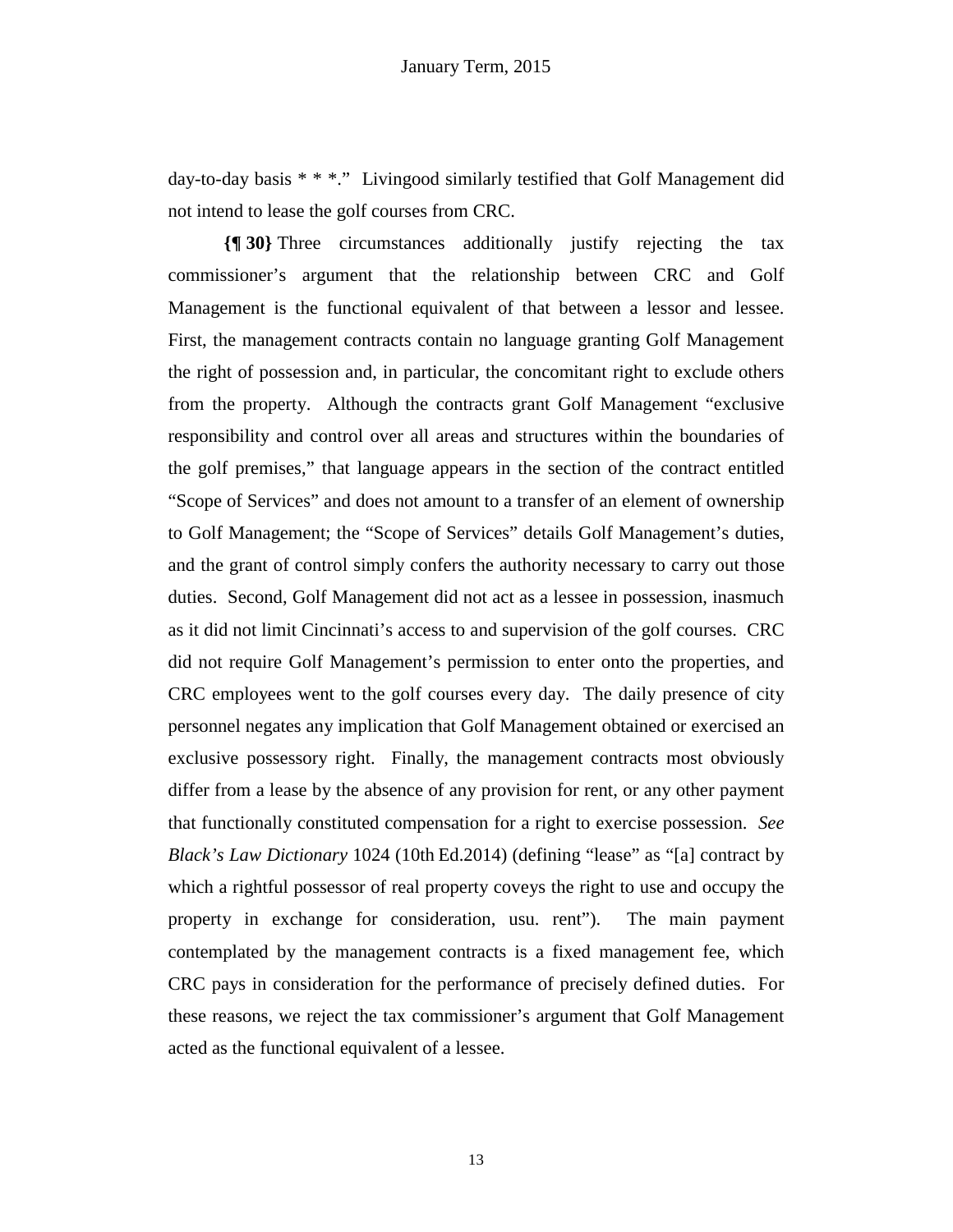day-to-day basis \* \* \*." Livingood similarly testified that Golf Management did not intend to lease the golf courses from CRC.

**{¶ 30}** Three circumstances additionally justify rejecting the tax commissioner's argument that the relationship between CRC and Golf Management is the functional equivalent of that between a lessor and lessee. First, the management contracts contain no language granting Golf Management the right of possession and, in particular, the concomitant right to exclude others from the property. Although the contracts grant Golf Management "exclusive responsibility and control over all areas and structures within the boundaries of the golf premises," that language appears in the section of the contract entitled "Scope of Services" and does not amount to a transfer of an element of ownership to Golf Management; the "Scope of Services" details Golf Management's duties, and the grant of control simply confers the authority necessary to carry out those duties. Second, Golf Management did not act as a lessee in possession, inasmuch as it did not limit Cincinnati's access to and supervision of the golf courses. CRC did not require Golf Management's permission to enter onto the properties, and CRC employees went to the golf courses every day. The daily presence of city personnel negates any implication that Golf Management obtained or exercised an exclusive possessory right. Finally, the management contracts most obviously differ from a lease by the absence of any provision for rent, or any other payment that functionally constituted compensation for a right to exercise possession. *See Black's Law Dictionary* 1024 (10th Ed.2014) (defining "lease" as "[a] contract by which a rightful possessor of real property coveys the right to use and occupy the property in exchange for consideration, usu. rent"). The main payment contemplated by the management contracts is a fixed management fee, which CRC pays in consideration for the performance of precisely defined duties. For these reasons, we reject the tax commissioner's argument that Golf Management acted as the functional equivalent of a lessee.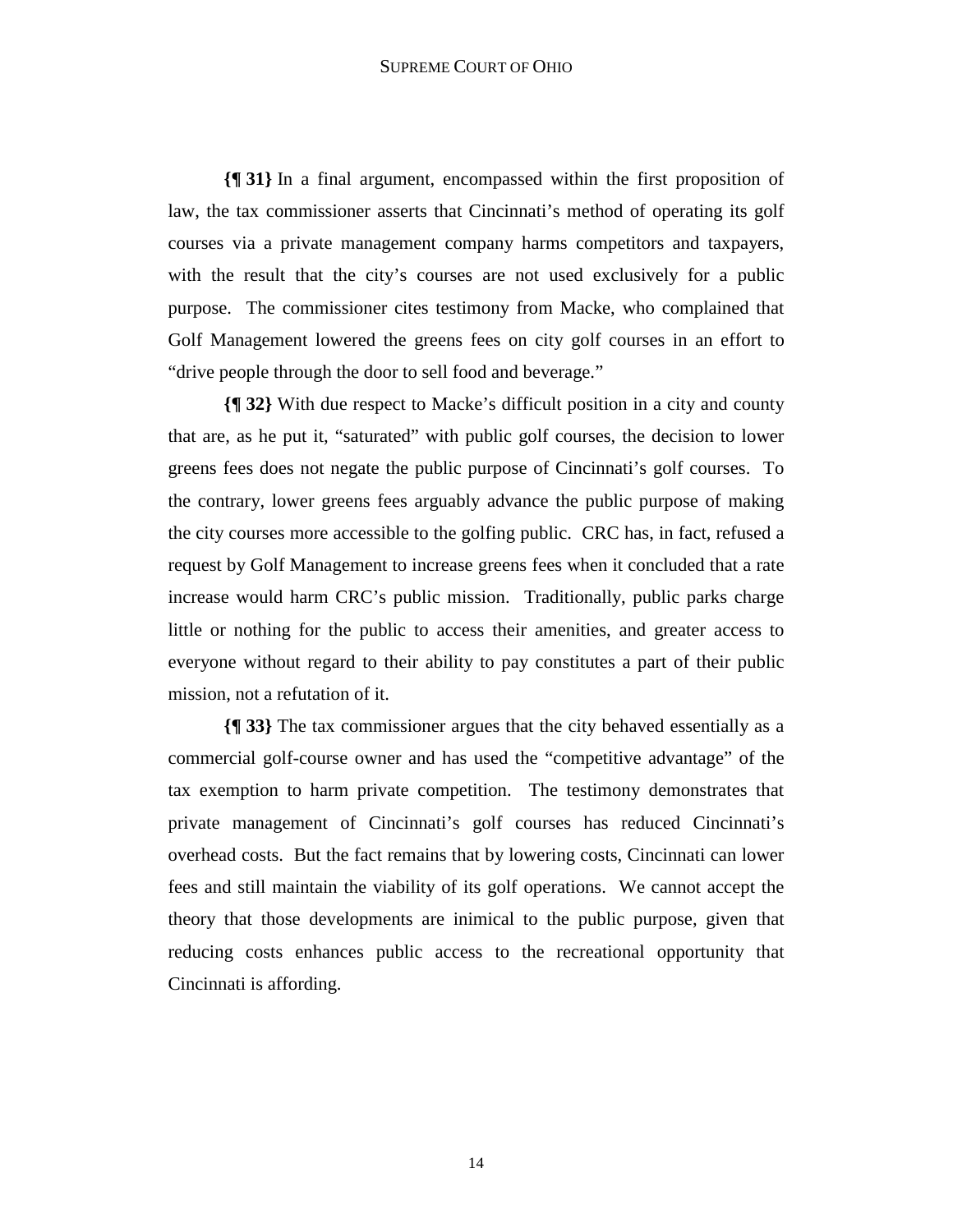**{¶ 31}** In a final argument, encompassed within the first proposition of law, the tax commissioner asserts that Cincinnati's method of operating its golf courses via a private management company harms competitors and taxpayers, with the result that the city's courses are not used exclusively for a public purpose. The commissioner cites testimony from Macke, who complained that Golf Management lowered the greens fees on city golf courses in an effort to "drive people through the door to sell food and beverage."

**{¶ 32}** With due respect to Macke's difficult position in a city and county that are, as he put it, "saturated" with public golf courses, the decision to lower greens fees does not negate the public purpose of Cincinnati's golf courses. To the contrary, lower greens fees arguably advance the public purpose of making the city courses more accessible to the golfing public. CRC has, in fact, refused a request by Golf Management to increase greens fees when it concluded that a rate increase would harm CRC's public mission. Traditionally, public parks charge little or nothing for the public to access their amenities, and greater access to everyone without regard to their ability to pay constitutes a part of their public mission, not a refutation of it.

**{¶ 33}** The tax commissioner argues that the city behaved essentially as a commercial golf-course owner and has used the "competitive advantage" of the tax exemption to harm private competition. The testimony demonstrates that private management of Cincinnati's golf courses has reduced Cincinnati's overhead costs. But the fact remains that by lowering costs, Cincinnati can lower fees and still maintain the viability of its golf operations. We cannot accept the theory that those developments are inimical to the public purpose, given that reducing costs enhances public access to the recreational opportunity that Cincinnati is affording.